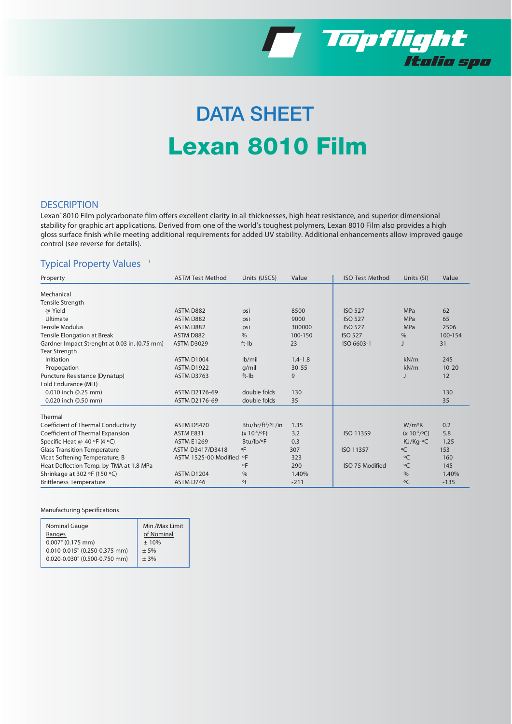

# DATA SHEET Lexan 8010 Film

### **DESCRIPTION**

Lexan\* 8010 Film polycarbonate film offers excellent clarity in all thicknesses, high heat resistance, and superior dimensional stability for graphic art applications. Derived from one of the world's toughest polymers, Lexan 8010 Film also provides a high gloss surface finish while meeting additional requirements for added UV stability. Additional enhancements allow improved gauge control (see reverse for details).

### **Typical Property Values <sup>1</sup>**

| Property                                      | <b>ASTM Test Method</b>  | Units (USCS)                  | Value       | <b>ISO Test Method</b> | Units (SI)              | Value     |
|-----------------------------------------------|--------------------------|-------------------------------|-------------|------------------------|-------------------------|-----------|
| Mechanical                                    |                          |                               |             |                        |                         |           |
| Tensile Strength                              |                          |                               |             |                        |                         |           |
| @ Yield                                       | ASTM D882                | psi                           | 8500        | <b>ISO 527</b>         | <b>MPa</b>              | 62        |
| Ultimate                                      | ASTM D882                | psi                           | 9000        | <b>ISO 527</b>         | <b>MPa</b>              | 65        |
| <b>Tensile Modulus</b>                        | ASTM D882                | psi                           | 300000      | <b>ISO 527</b>         | MPa                     | 2506      |
| Tensile Elongation at Break                   | ASTM D882                | $\frac{0}{0}$                 | 100-150     | <b>ISO 527</b>         | $\%$                    | 100-154   |
| Gardner Impact Strenght at 0.03 in. (0.75 mm) | <b>ASTM D3029</b>        | ft-Ib                         | 23          | ISO 6603-1             |                         | 31        |
| Tear Strength                                 |                          |                               |             |                        |                         |           |
| Initiation                                    | ASTM D1004               | $lb$ mil                      | $1.4 - 1.8$ |                        | kN/m                    | 245       |
| Propogation                                   | ASTM D1922               | $q$ /mil                      | $30 - 55$   |                        | kN/m                    | $10 - 20$ |
| Puncture Resistance (Dynatup)                 | <b>ASTM D3763</b>        | ft-Ib                         | 9           |                        |                         | 12        |
| Fold Endurance (MIT)                          |                          |                               |             |                        |                         |           |
| 0.010 inch (0.25 mm)                          | ASTM D2176-69            | double folds                  | 130         |                        |                         | 130       |
| 0.020 inch (0.50 mm)                          | ASTM D2176-69            | double folds                  | 35          |                        |                         | 35        |
| Thermal                                       |                          |                               |             |                        |                         |           |
| Coefficient of Thermal Conductivity           | <b>ASTM D5470</b>        | Btu/hr/ft <sup>2</sup> /°F/in | 1.35        |                        | $W/m^oK$                | 0.2       |
| Coefficient of Thermal Expansion              | ASTM E831                | $(x 10^{-5}/^{\circ}F)$       | 3.2         | ISO 11359              | $(x 10^{-5}/^{\circ}C)$ | 5.8       |
| Specific Heat @ 40 °F (4 °C)                  | <b>ASTM E1269</b>        | Btu/lb/°F                     | 0.3         |                        | KJ/Kq-°C                | 1.25      |
| <b>Glass Transition Temperature</b>           | ASTM D3417/D3418         | οF                            | 307         | ISO 11357              | $\circ$ C               | 153       |
| Vicat Softening Temperature, B                | ASTM 1525-00 Modified °F |                               | 323         |                        | $\circ$ C               | 160       |
| Heat Deflection Temp. by TMA at 1.8 MPa       |                          | $\circ$ F                     | 290         | ISO 75 Modified        | $\circ$ C               | 145       |
| Shrinkage at 302 °F (150 °C)                  | <b>ASTM D1204</b>        | $\frac{0}{6}$                 | 1.40%       |                        | $\frac{0}{6}$           | 1.40%     |
| <b>Brittleness Temperature</b>                | ASTM D746                | $^{\circ}$ F                  | $-211$      |                        | $\circ$ C               | $-135$    |

#### **Manufacturing Specifications**

| Nominal Gauge                 | Min./Max Limit |
|-------------------------------|----------------|
| Ranges                        | of Nominal     |
| $0.007$ " (0.175 mm)          | ± 10%          |
| 0.010-0.015" (0.250-0.375 mm) | ±5%            |
| 0.020-0.030" (0.500-0.750 mm) | ± 3%           |